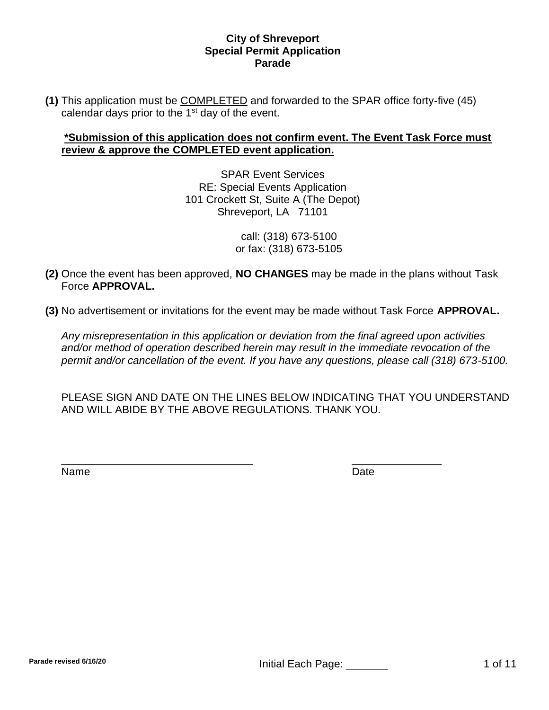**(1)** This application must be COMPLETED and forwarded to the SPAR office forty-five (45) calendar days prior to the  $1<sup>st</sup>$  day of the event.

## **\*Submission of this application does not confirm event. The Event Task Force must review & approve the COMPLETED event application.**

SPAR Event Services RE: Special Events Application 101 Crockett St, Suite A (The Depot) Shreveport, LA 71101

> call: (318) 673-5100 or fax: (318) 673-5105

- **(2)** Once the event has been approved, **NO CHANGES** may be made in the plans without Task Force **APPROVAL.**
- **(3)** No advertisement or invitations for the event may be made without Task Force **APPROVAL.**

*Any misrepresentation in this application or deviation from the final agreed upon activities and/or method of operation described herein may result in the immediate revocation of the permit and/or cancellation of the event. If you have any questions, please call (318) 673-5100.*

PLEASE SIGN AND DATE ON THE LINES BELOW INDICATING THAT YOU UNDERSTAND AND WILL ABIDE BY THE ABOVE REGULATIONS. THANK YOU.

\_\_\_\_\_\_\_\_\_\_\_\_\_\_\_\_\_\_\_\_\_\_\_\_\_\_\_\_\_\_\_\_ \_\_\_\_\_\_\_\_\_\_\_\_\_\_\_

Name Date **Date**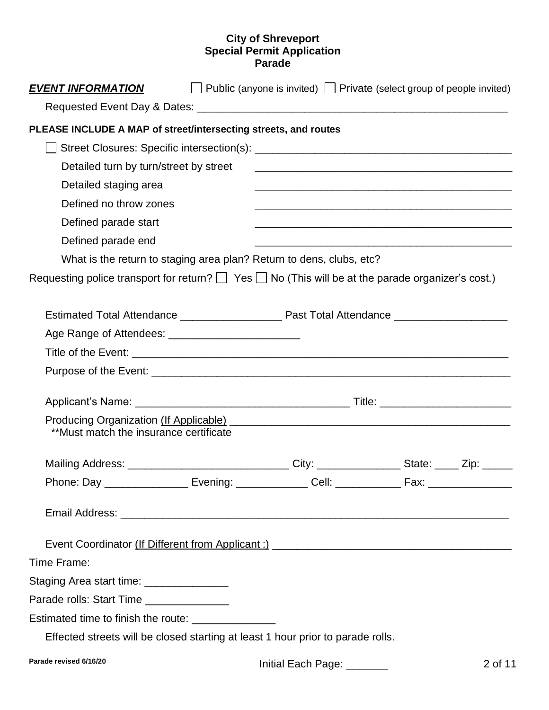| <b>EVENT INFORMATION</b>                                                                                                                                        | $\Box$ Public (anyone is invited) $\Box$ Private (select group of people invited)                                     |  |  |  |
|-----------------------------------------------------------------------------------------------------------------------------------------------------------------|-----------------------------------------------------------------------------------------------------------------------|--|--|--|
|                                                                                                                                                                 |                                                                                                                       |  |  |  |
| PLEASE INCLUDE A MAP of street/intersecting streets, and routes                                                                                                 |                                                                                                                       |  |  |  |
|                                                                                                                                                                 |                                                                                                                       |  |  |  |
| Detailed turn by turn/street by street                                                                                                                          | <u> 1989 - Johann John Stoff, deutscher Stoffen und der Stoffen und der Stoffen und der Stoffen und der Stoffen u</u> |  |  |  |
| Detailed staging area                                                                                                                                           | <u> 1989 - Johann Harry Harry Harry Harry Harry Harry Harry Harry Harry Harry Harry Harry Harry Harry Harry Harry</u> |  |  |  |
| Defined no throw zones                                                                                                                                          | <u> 1980 - Johann Stoff, amerikansk politiker (d. 1980)</u>                                                           |  |  |  |
| Defined parade start                                                                                                                                            | <u> 1980 - Johann Stoff, amerikansk politiker (d. 1980)</u>                                                           |  |  |  |
| Defined parade end                                                                                                                                              |                                                                                                                       |  |  |  |
| What is the return to staging area plan? Return to dens, clubs, etc?                                                                                            |                                                                                                                       |  |  |  |
| Requesting police transport for return? $\Box$ Yes $\Box$ No (This will be at the parade organizer's cost.)                                                     |                                                                                                                       |  |  |  |
|                                                                                                                                                                 |                                                                                                                       |  |  |  |
|                                                                                                                                                                 |                                                                                                                       |  |  |  |
|                                                                                                                                                                 |                                                                                                                       |  |  |  |
|                                                                                                                                                                 |                                                                                                                       |  |  |  |
|                                                                                                                                                                 |                                                                                                                       |  |  |  |
|                                                                                                                                                                 |                                                                                                                       |  |  |  |
| Producing Organization (If Applicable) Manual According to the Contract of Application of Application (If Applicable)<br>**Must match the insurance certificate |                                                                                                                       |  |  |  |
| Mailing Address: _________________________________City: _________________State: _____ Zip: ______                                                               |                                                                                                                       |  |  |  |
| Phone: Day ___________________ Evening: _______________ Cell: __________________ Fax: ___________________                                                       |                                                                                                                       |  |  |  |
|                                                                                                                                                                 |                                                                                                                       |  |  |  |
|                                                                                                                                                                 |                                                                                                                       |  |  |  |
| Time Frame:                                                                                                                                                     |                                                                                                                       |  |  |  |
| Staging Area start time: ________________                                                                                                                       |                                                                                                                       |  |  |  |
| Parade rolls: Start Time _______________                                                                                                                        |                                                                                                                       |  |  |  |
| Estimated time to finish the route: _______________                                                                                                             |                                                                                                                       |  |  |  |
| Effected streets will be closed starting at least 1 hour prior to parade rolls.                                                                                 |                                                                                                                       |  |  |  |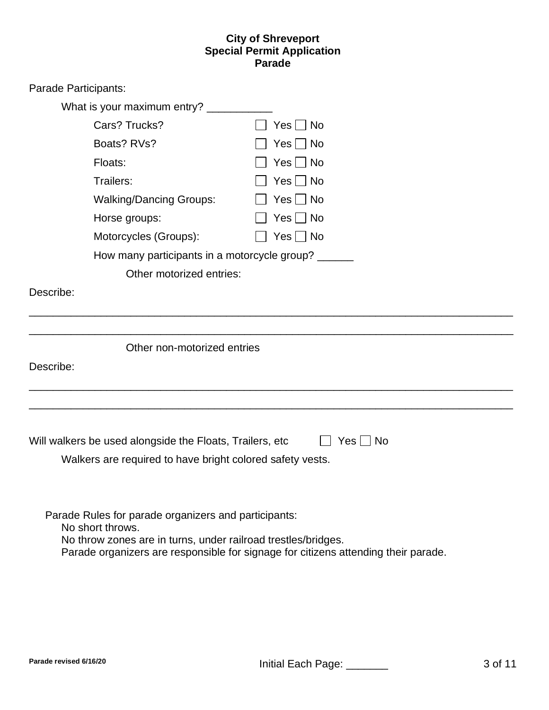| Parade Participants:                                                                                                                        |                                                    |                            |  |  |
|---------------------------------------------------------------------------------------------------------------------------------------------|----------------------------------------------------|----------------------------|--|--|
|                                                                                                                                             | What is your maximum entry? _                      |                            |  |  |
|                                                                                                                                             | Cars? Trucks?                                      | $Yes \Box No$              |  |  |
|                                                                                                                                             | Boats? RVs?                                        | Yes <br>No                 |  |  |
|                                                                                                                                             | Floats:                                            | Yes  <br>$\blacksquare$ No |  |  |
|                                                                                                                                             | Trailers:                                          | $\Box$ No<br>Yes           |  |  |
|                                                                                                                                             | <b>Walking/Dancing Groups:</b>                     | $Yes \Box No$              |  |  |
|                                                                                                                                             | Horse groups:                                      | Yes  <br>No                |  |  |
|                                                                                                                                             | Motorcycles (Groups):                              | $Yes \Box No$              |  |  |
|                                                                                                                                             | How many participants in a motorcycle group? _____ |                            |  |  |
|                                                                                                                                             | Other motorized entries:                           |                            |  |  |
| Describe:                                                                                                                                   |                                                    |                            |  |  |
|                                                                                                                                             |                                                    |                            |  |  |
|                                                                                                                                             | Other non-motorized entries                        |                            |  |  |
| Describe:                                                                                                                                   |                                                    |                            |  |  |
|                                                                                                                                             |                                                    |                            |  |  |
|                                                                                                                                             |                                                    |                            |  |  |
| Will walkers be used alongside the Floats, Trailers, etc<br>$Yes \mid \mid No$<br>Walkers are required to have bright colored safety vests. |                                                    |                            |  |  |
|                                                                                                                                             |                                                    |                            |  |  |

Parade Rules for parade organizers and participants: No short throws.

No throw zones are in turns, under railroad trestles/bridges.

Parade organizers are responsible for signage for citizens attending their parade.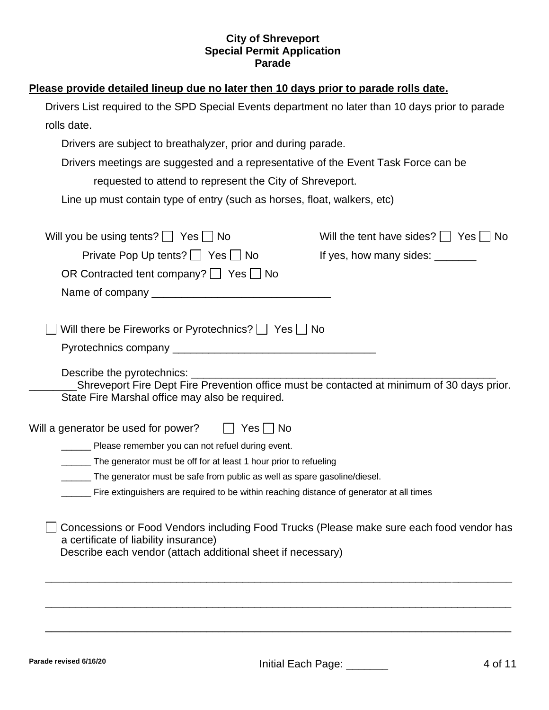## **Please provide detailed lineup due no later then 10 days prior to parade rolls date.**

| Drivers List required to the SPD Special Events department no later than 10 days prior to parade |  |  |
|--------------------------------------------------------------------------------------------------|--|--|
| rolls date.                                                                                      |  |  |

Drivers are subject to breathalyzer, prior and during parade.

Drivers meetings are suggested and a representative of the Event Task Force can be

requested to attend to represent the City of Shreveport.

Line up must contain type of entry (such as horses, float, walkers, etc)

| Will you be using tents? $\Box$ Yes $\Box$ No                                                                                                                                                    | Will the tent have sides? $\Box$ Yes $\Box$ No |
|--------------------------------------------------------------------------------------------------------------------------------------------------------------------------------------------------|------------------------------------------------|
| Private Pop Up tents? $\Box$ Yes $\Box$ No                                                                                                                                                       | If yes, how many sides: _______                |
| OR Contracted tent company? $\Box$ Yes $\Box$ No                                                                                                                                                 |                                                |
|                                                                                                                                                                                                  |                                                |
| Will there be Fireworks or Pyrotechnics? Some Yes No                                                                                                                                             |                                                |
|                                                                                                                                                                                                  |                                                |
| Describe the pyrotechnics:<br>Shreveport Fire Dept Fire Prevention office must be contacted at minimum of 30 days prior.<br>State Fire Marshal office may also be required.                      |                                                |
| Will a generator be used for power?<br>    Yes     No                                                                                                                                            |                                                |
| Please remember you can not refuel during event.                                                                                                                                                 |                                                |
| The generator must be off for at least 1 hour prior to refueling                                                                                                                                 |                                                |
| The generator must be safe from public as well as spare gasoline/diesel.                                                                                                                         |                                                |
| Fire extinguishers are required to be within reaching distance of generator at all times                                                                                                         |                                                |
| Concessions or Food Vendors including Food Trucks (Please make sure each food vendor has<br>a certificate of liability insurance)<br>Describe each vendor (attach additional sheet if necessary) |                                                |
|                                                                                                                                                                                                  |                                                |
|                                                                                                                                                                                                  |                                                |
|                                                                                                                                                                                                  |                                                |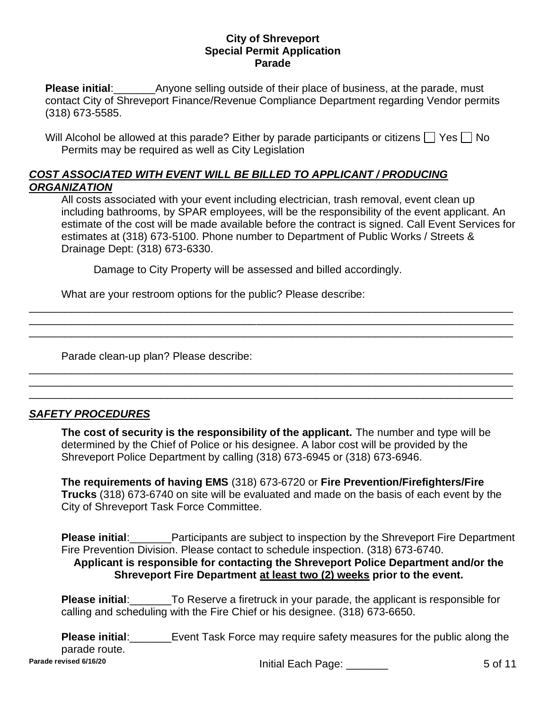**Please initial**:\_\_\_\_\_\_\_Anyone selling outside of their place of business, at the parade, must contact City of Shreveport Finance/Revenue Compliance Department regarding Vendor permits (318) 673-5585.

Will Alcohol be allowed at this parade? Either by parade participants or citizens  $\Box$  Yes  $\Box$  No Permits may be required as well as City Legislation

## *COST ASSOCIATED WITH EVENT WILL BE BILLED TO APPLICANT / PRODUCING ORGANIZATION*

All costs associated with your event including electrician, trash removal, event clean up including bathrooms, by SPAR employees, will be the responsibility of the event applicant. An estimate of the cost will be made available before the contract is signed. Call Event Services for estimates at (318) 673-5100. Phone number to Department of Public Works / Streets & Drainage Dept: (318) 673-6330.

Damage to City Property will be assessed and billed accordingly.

\_\_\_\_\_\_\_\_\_\_\_\_\_\_\_\_\_\_\_\_\_\_\_\_\_\_\_\_\_\_\_\_\_\_\_\_\_\_\_\_\_\_\_\_\_\_\_\_\_\_\_\_\_\_\_\_\_\_\_\_\_\_\_\_\_\_\_\_\_\_\_\_\_\_\_\_\_\_\_\_\_ \_\_\_\_\_\_\_\_\_\_\_\_\_\_\_\_\_\_\_\_\_\_\_\_\_\_\_\_\_\_\_\_\_\_\_\_\_\_\_\_\_\_\_\_\_\_\_\_\_\_\_\_\_\_\_\_\_\_\_\_\_\_\_\_\_\_\_\_\_\_\_\_\_\_\_\_\_\_\_\_\_ \_\_\_\_\_\_\_\_\_\_\_\_\_\_\_\_\_\_\_\_\_\_\_\_\_\_\_\_\_\_\_\_\_\_\_\_\_\_\_\_\_\_\_\_\_\_\_\_\_\_\_\_\_\_\_\_\_\_\_\_\_\_\_\_\_\_\_\_\_\_\_\_\_\_\_\_\_\_\_\_\_

\_\_\_\_\_\_\_\_\_\_\_\_\_\_\_\_\_\_\_\_\_\_\_\_\_\_\_\_\_\_\_\_\_\_\_\_\_\_\_\_\_\_\_\_\_\_\_\_\_\_\_\_\_\_\_\_\_\_\_\_\_\_\_\_\_\_\_\_\_\_\_\_\_\_\_\_\_\_\_\_\_ \_\_\_\_\_\_\_\_\_\_\_\_\_\_\_\_\_\_\_\_\_\_\_\_\_\_\_\_\_\_\_\_\_\_\_\_\_\_\_\_\_\_\_\_\_\_\_\_\_\_\_\_\_\_\_\_\_\_\_\_\_\_\_\_\_\_\_\_\_\_\_\_\_\_\_\_\_\_\_\_\_ \_\_\_\_\_\_\_\_\_\_\_\_\_\_\_\_\_\_\_\_\_\_\_\_\_\_\_\_\_\_\_\_\_\_\_\_\_\_\_\_\_\_\_\_\_\_\_\_\_\_\_\_\_\_\_\_\_\_\_\_\_\_\_\_\_\_\_\_\_\_\_\_\_\_\_\_\_\_\_\_\_

What are your restroom options for the public? Please describe:

Parade clean-up plan? Please describe:

## *SAFETY PROCEDURES*

**The cost of security is the responsibility of the applicant.** The number and type will be determined by the Chief of Police or his designee. A labor cost will be provided by the Shreveport Police Department by calling (318) 673-6945 or (318) 673-6946.

**The requirements of having EMS** (318) 673-6720 or **Fire Prevention/Firefighters/Fire Trucks** (318) 673-6740 on site will be evaluated and made on the basis of each event by the City of Shreveport Task Force Committee.

**Please initial:** Participants are subject to inspection by the Shreveport Fire Department Fire Prevention Division. Please contact to schedule inspection. (318) 673-6740.

**Applicant is responsible for contacting the Shreveport Police Department and/or the Shreveport Fire Department at least two (2) weeks prior to the event.**

**Please initial**:\_\_\_\_\_\_\_To Reserve a firetruck in your parade, the applicant is responsible for calling and scheduling with the Fire Chief or his designee. (318) 673-6650.

**Please initial:** Event Task Force may require safety measures for the public along the parade route.

**Parade revised 6/16/20** Initial Each Page: \_\_\_\_\_\_\_ 5 of 11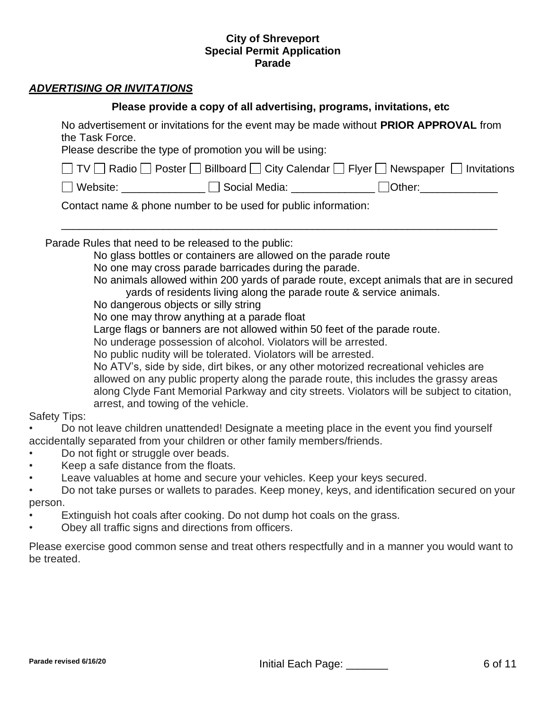## *ADVERTISING OR INVITATIONS*

## **Please provide a copy of all advertising, programs, invitations, etc**

No advertisement or invitations for the event may be made without **PRIOR APPROVAL** from the Task Force.

Please describe the type of promotion you will be using:

|          | □ TV □ Radio □ Poster □ Billboard □ City Calendar □ Flyer □ Newspaper □ Invitations |               |  |
|----------|-------------------------------------------------------------------------------------|---------------|--|
| Website: | Social Media:                                                                       | $\Box$ Other: |  |

\_\_\_\_\_\_\_\_\_\_\_\_\_\_\_\_\_\_\_\_\_\_\_\_\_\_\_\_\_\_\_\_\_\_\_\_\_\_\_\_\_\_\_\_\_\_\_\_\_\_\_\_\_\_\_\_\_\_\_\_\_\_\_\_\_\_\_\_\_\_\_\_\_

Contact name & phone number to be used for public information:

Parade Rules that need to be released to the public:

No glass bottles or containers are allowed on the parade route

No one may cross parade barricades during the parade.

No animals allowed within 200 yards of parade route, except animals that are in secured yards of residents living along the parade route & service animals.

No dangerous objects or silly string

No one may throw anything at a parade float

Large flags or banners are not allowed within 50 feet of the parade route.

No underage possession of alcohol. Violators will be arrested.

No public nudity will be tolerated. Violators will be arrested.

No ATV's, side by side, dirt bikes, or any other motorized recreational vehicles are allowed on any public property along the parade route, this includes the grassy areas along Clyde Fant Memorial Parkway and city streets. Violators will be subject to citation, arrest, and towing of the vehicle.

## Safety Tips:

• Do not leave children unattended! Designate a meeting place in the event you find yourself accidentally separated from your children or other family members/friends.

- Do not fight or struggle over beads.
- Keep a safe distance from the floats.
- Leave valuables at home and secure your vehicles. Keep your keys secured.
- Do not take purses or wallets to parades. Keep money, keys, and identification secured on your person.
- Extinguish hot coals after cooking. Do not dump hot coals on the grass.
- Obey all traffic signs and directions from officers.

Please exercise good common sense and treat others respectfully and in a manner you would want to be treated.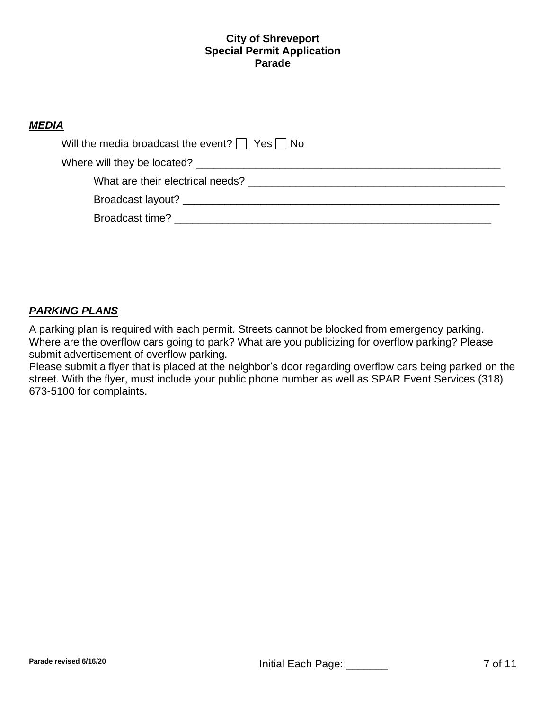## *MEDIA*

| Will the media broadcast the event? $\Box$ Yes $\Box$ No |  |
|----------------------------------------------------------|--|
|                                                          |  |
| What are their electrical needs?                         |  |
| Broadcast layout?                                        |  |
| Broadcast time?                                          |  |

## *PARKING PLANS*

A parking plan is required with each permit. Streets cannot be blocked from emergency parking. Where are the overflow cars going to park? What are you publicizing for overflow parking? Please submit advertisement of overflow parking.

Please submit a flyer that is placed at the neighbor's door regarding overflow cars being parked on the street. With the flyer, must include your public phone number as well as SPAR Event Services (318) 673-5100 for complaints.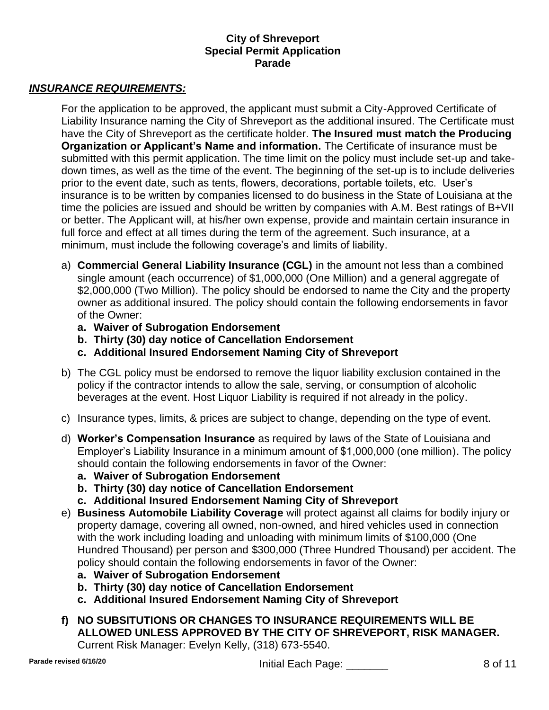## *INSURANCE REQUIREMENTS:*

For the application to be approved, the applicant must submit a City-Approved Certificate of Liability Insurance naming the City of Shreveport as the additional insured. The Certificate must have the City of Shreveport as the certificate holder. **The Insured must match the Producing Organization or Applicant's Name and information.** The Certificate of insurance must be submitted with this permit application. The time limit on the policy must include set-up and takedown times, as well as the time of the event. The beginning of the set-up is to include deliveries prior to the event date, such as tents, flowers, decorations, portable toilets, etc. User's insurance is to be written by companies licensed to do business in the State of Louisiana at the time the policies are issued and should be written by companies with A.M. Best ratings of B+VII or better. The Applicant will, at his/her own expense, provide and maintain certain insurance in full force and effect at all times during the term of the agreement. Such insurance, at a minimum, must include the following coverage's and limits of liability.

- a) **Commercial General Liability Insurance (CGL)** in the amount not less than a combined single amount (each occurrence) of \$1,000,000 (One Million) and a general aggregate of \$2,000,000 (Two Million). The policy should be endorsed to name the City and the property owner as additional insured. The policy should contain the following endorsements in favor of the Owner:
	- **a. Waiver of Subrogation Endorsement**
	- **b. Thirty (30) day notice of Cancellation Endorsement**
	- **c. Additional Insured Endorsement Naming City of Shreveport**
- b) The CGL policy must be endorsed to remove the liquor liability exclusion contained in the policy if the contractor intends to allow the sale, serving, or consumption of alcoholic beverages at the event. Host Liquor Liability is required if not already in the policy.
- c) Insurance types, limits, & prices are subject to change, depending on the type of event.
- d) **Worker's Compensation Insurance** as required by laws of the State of Louisiana and Employer's Liability Insurance in a minimum amount of \$1,000,000 (one million). The policy should contain the following endorsements in favor of the Owner:
	- **a. Waiver of Subrogation Endorsement**
	- **b. Thirty (30) day notice of Cancellation Endorsement**
	- **c. Additional Insured Endorsement Naming City of Shreveport**
- e) **Business Automobile Liability Coverage** will protect against all claims for bodily injury or property damage, covering all owned, non-owned, and hired vehicles used in connection with the work including loading and unloading with minimum limits of \$100,000 (One Hundred Thousand) per person and \$300,000 (Three Hundred Thousand) per accident. The policy should contain the following endorsements in favor of the Owner:
	- **a. Waiver of Subrogation Endorsement**
	- **b. Thirty (30) day notice of Cancellation Endorsement**
	- **c. Additional Insured Endorsement Naming City of Shreveport**

## **f) NO SUBSITUTIONS OR CHANGES TO INSURANCE REQUIREMENTS WILL BE ALLOWED UNLESS APPROVED BY THE CITY OF SHREVEPORT, RISK MANAGER.** Current Risk Manager: Evelyn Kelly, (318) 673-5540.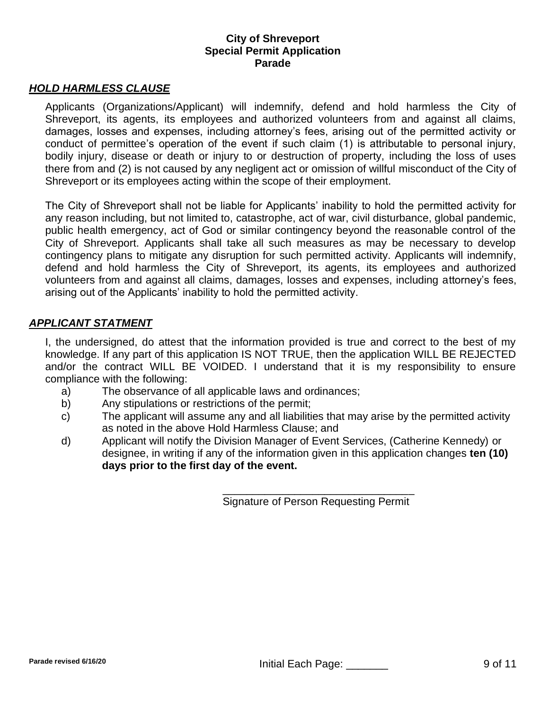#### *HOLD HARMLESS CLAUSE*

Applicants (Organizations/Applicant) will indemnify, defend and hold harmless the City of Shreveport, its agents, its employees and authorized volunteers from and against all claims, damages, losses and expenses, including attorney's fees, arising out of the permitted activity or conduct of permittee's operation of the event if such claim (1) is attributable to personal injury, bodily injury, disease or death or injury to or destruction of property, including the loss of uses there from and (2) is not caused by any negligent act or omission of willful misconduct of the City of Shreveport or its employees acting within the scope of their employment.

The City of Shreveport shall not be liable for Applicants' inability to hold the permitted activity for any reason including, but not limited to, catastrophe, act of war, civil disturbance, global pandemic, public health emergency, act of God or similar contingency beyond the reasonable control of the City of Shreveport. Applicants shall take all such measures as may be necessary to develop contingency plans to mitigate any disruption for such permitted activity. Applicants will indemnify, defend and hold harmless the City of Shreveport, its agents, its employees and authorized volunteers from and against all claims, damages, losses and expenses, including attorney's fees, arising out of the Applicants' inability to hold the permitted activity.

#### *APPLICANT STATMENT*

I, the undersigned, do attest that the information provided is true and correct to the best of my knowledge. If any part of this application IS NOT TRUE, then the application WILL BE REJECTED and/or the contract WILL BE VOIDED. I understand that it is my responsibility to ensure compliance with the following:

- a) The observance of all applicable laws and ordinances;
- b) Any stipulations or restrictions of the permit;
- c) The applicant will assume any and all liabilities that may arise by the permitted activity as noted in the above Hold Harmless Clause; and
- d) Applicant will notify the Division Manager of Event Services, (Catherine Kennedy) or designee, in writing if any of the information given in this application changes **ten (10) days prior to the first day of the event.**

\_\_\_\_\_\_\_\_\_\_\_\_\_\_\_\_\_\_\_\_\_\_\_\_\_\_\_\_\_\_\_\_ Signature of Person Requesting Permit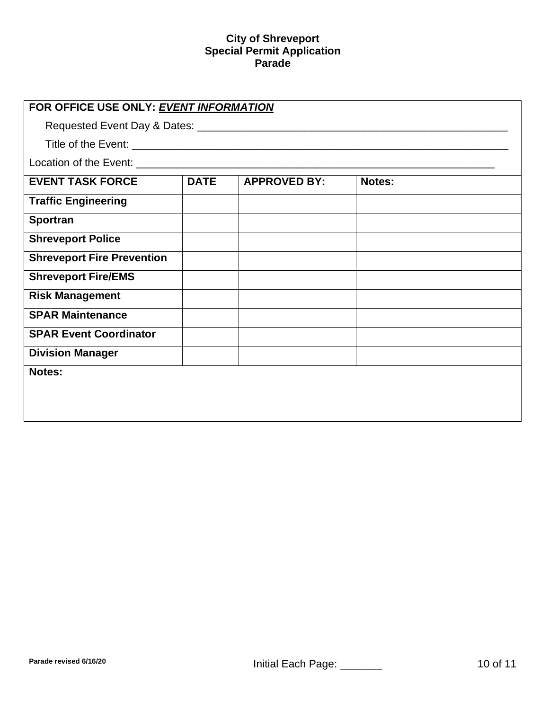| FOR OFFICE USE ONLY: EVENT INFORMATION                                                                                                                                                                                               |             |                     |        |  |
|--------------------------------------------------------------------------------------------------------------------------------------------------------------------------------------------------------------------------------------|-------------|---------------------|--------|--|
|                                                                                                                                                                                                                                      |             |                     |        |  |
| Title of the Event: <u>the contract of the Event of the State of the Event of the State of the Contract of the Contract of the Contract of the Contract of the Contract of the Contract of the Contract of the Contract of the C</u> |             |                     |        |  |
|                                                                                                                                                                                                                                      |             |                     |        |  |
| <b>EVENT TASK FORCE</b>                                                                                                                                                                                                              | <b>DATE</b> | <b>APPROVED BY:</b> | Notes: |  |
| <b>Traffic Engineering</b>                                                                                                                                                                                                           |             |                     |        |  |
| <b>Sportran</b>                                                                                                                                                                                                                      |             |                     |        |  |
| <b>Shreveport Police</b>                                                                                                                                                                                                             |             |                     |        |  |
| <b>Shreveport Fire Prevention</b>                                                                                                                                                                                                    |             |                     |        |  |
| <b>Shreveport Fire/EMS</b>                                                                                                                                                                                                           |             |                     |        |  |
| <b>Risk Management</b>                                                                                                                                                                                                               |             |                     |        |  |
| <b>SPAR Maintenance</b>                                                                                                                                                                                                              |             |                     |        |  |
| <b>SPAR Event Coordinator</b>                                                                                                                                                                                                        |             |                     |        |  |
| <b>Division Manager</b>                                                                                                                                                                                                              |             |                     |        |  |
| <b>Notes:</b>                                                                                                                                                                                                                        |             |                     |        |  |
|                                                                                                                                                                                                                                      |             |                     |        |  |
|                                                                                                                                                                                                                                      |             |                     |        |  |